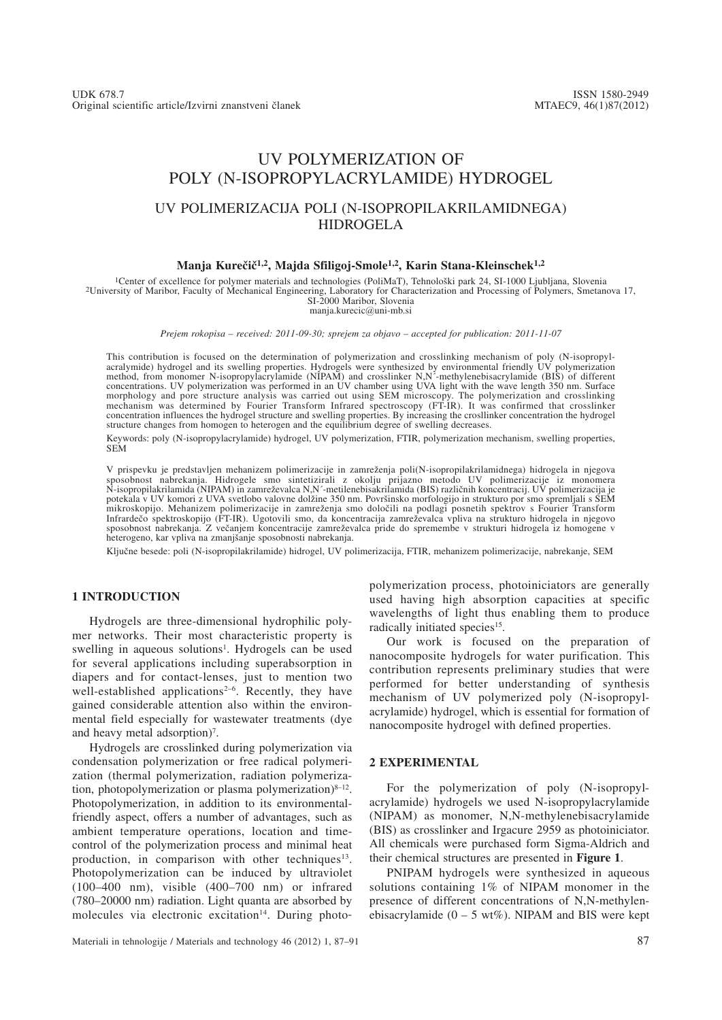# UV POLYMERIZATION OF POLY (N-ISOPROPYLACRYLAMIDE) HYDROGEL

## UV POLIMERIZACIJA POLI (N-ISOPROPILAKRILAMIDNEGA) HIDROGELA

#### Manja Kurečič<sup>1,2</sup>, Majda Sfiligoj-Smole<sup>1,2</sup>, Karin Stana-Kleinschek<sup>1,2</sup>

<sup>1</sup>Center of excellence for polymer materials and technologies (PoliMaT), Tehnološki park 24, SI-1000 Ljubljana, Slovenia<br><sup>2</sup>University of Maribor, Faculty of Mechanical Engineering, Laboratory for Characterization and Pro SI-2000 Maribor, Slovenia manja.kurecic@uni-mb.si

*Prejem rokopisa – received: 2011-09-30; sprejem za objavo – accepted for publication: 2011-11-07*

This contribution is focused on the determination of polymerization and crosslinking mechanism of poly (N-isopropyl-<br>acralymide) hydrogel and its swelling properties. Hydrogels were synthesized by environmental friendly UV method, from monomer N-isopropylacrylamide (NIPAM) and crosslinker N,N´-methylenebisacrylamide (BIS) of different<br>concentrations. UV polymerization was performed in an UV chamber using UVA light with the wave length 350 nm concentration influences the hydrogel structure and swelling properties. By increasing the crosllinker concentration the hydrogel structure changes from homogen to heterogen and the equilibrium degree of swelling decreases.

Keywords: poly (N-isopropylacrylamide) hydrogel, UV polymerization, FTIR, polymerization mechanism, swelling properties, SEM

V prispevku je predstavljen mehanizem polimerizacije in zamreženja poli(N-isopropilakrilamidnega) hidrogela in njegova sposobnost nabrekanja. Hidrogele smo sintetizirali z okolju prijazno metodo UV polimerizacije iz monomera<br>N-isopropilakrilamida(NIPAM)in zamreževalcaN,N´-metilenebisakrilamida(BIS)različnih koncentracij. UV polimerizacija  potekala v UV komori z UVA svetlobo valovne dolžine 350 nm. Površinsko morfologijo in strukturo por smo spremljali s ŠEM mikroskopijo. Mehanizem polimerizacije in zamreženja smo določili na podlagi posnetih spektrov s Fourier Transform<br>Infrardečo spektroskopijo (FT-IR). Ugotovili smo, da koncentracija zamreževalca vpliva na strukturo hidroge sposobnost nabrekanja. Z večanjem koncentracije zamreževalca pride do spremembe v strukturi hidrogela iz homogene v heterogeno, kar vpliva na zmanjšanje sposobnosti nabrekanja.

Ključne besede: poli (N-isopropilakrilamide) hidrogel, UV polimerizacija, FTIR, mehanizem polimerizacije, nabrekanje, SEM

### **1 INTRODUCTION**

Hydrogels are three-dimensional hydrophilic polymer networks. Their most characteristic property is swelling in aqueous solutions<sup>1</sup>. Hydrogels can be used for several applications including superabsorption in diapers and for contact-lenses, just to mention two well-established applications<sup>2-6</sup>. Recently, they have gained considerable attention also within the environmental field especially for wastewater treatments (dye and heavy metal adsorption)<sup>7</sup>.

Hydrogels are crosslinked during polymerization via condensation polymerization or free radical polymerization (thermal polymerization, radiation polymerization, photopolymerization or plasma polymerization) $8-12$ . Photopolymerization, in addition to its environmentalfriendly aspect, offers a number of advantages, such as ambient temperature operations, location and timecontrol of the polymerization process and minimal heat production, in comparison with other techniques<sup>13</sup>. Photopolymerization can be induced by ultraviolet (100–400 nm), visible (400–700 nm) or infrared (780–20000 nm) radiation. Light quanta are absorbed by molecules via electronic excitation<sup>14</sup>. During photopolymerization process, photoiniciators are generally used having high absorption capacities at specific wavelengths of light thus enabling them to produce radically initiated species<sup>15</sup>.

Our work is focused on the preparation of nanocomposite hydrogels for water purification. This contribution represents preliminary studies that were performed for better understanding of synthesis mechanism of UV polymerized poly (N-isopropylacrylamide) hydrogel, which is essential for formation of nanocomposite hydrogel with defined properties.

#### **2 EXPERIMENTAL**

For the polymerization of poly (N-isopropylacrylamide) hydrogels we used N-isopropylacrylamide (NIPAM) as monomer, N,N-methylenebisacrylamide (BIS) as crosslinker and Irgacure 2959 as photoiniciator. All chemicals were purchased form Sigma-Aldrich and their chemical structures are presented in **Figure 1**.

PNIPAM hydrogels were synthesized in aqueous solutions containing 1% of NIPAM monomer in the presence of different concentrations of N,N-methylenebisacrylamide  $(0 - 5 \text{ wt\%})$ . NIPAM and BIS were kept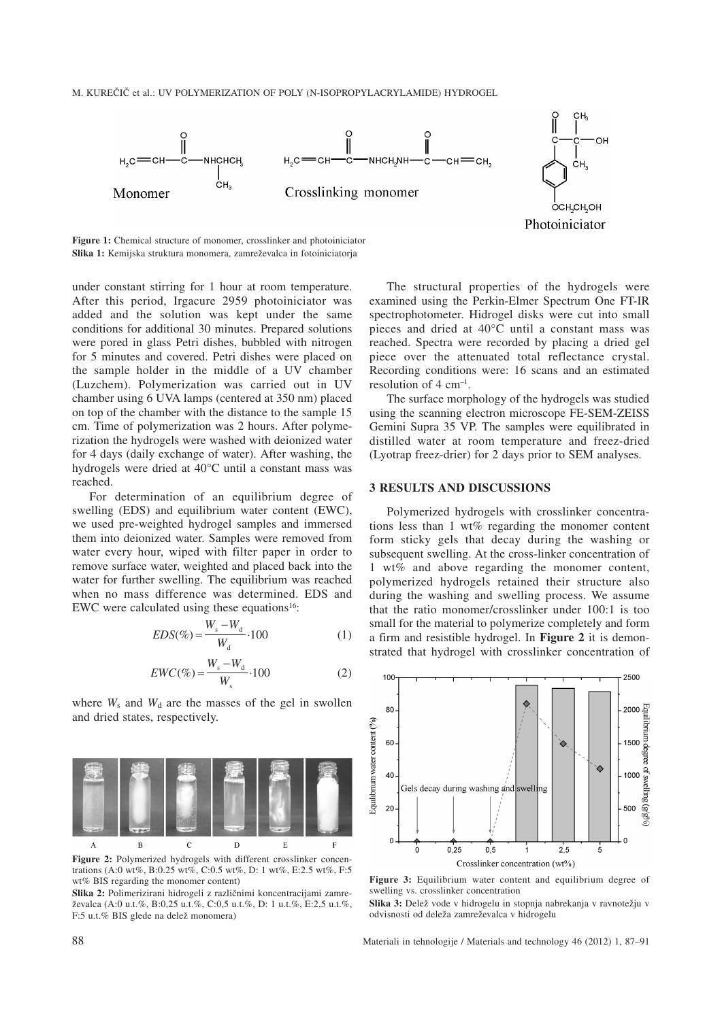M. KUREČIČ et al.: UV POLYMERIZATION OF POLY (N-ISOPROPYLACRYLAMIDE) HYDROGEL



**Figure 1:** Chemical structure of monomer, crosslinker and photoiniciator Slika 1: Kemijska struktura monomera, zamreževalca in fotoiniciatorja

under constant stirring for 1 hour at room temperature. After this period, Irgacure 2959 photoiniciator was added and the solution was kept under the same conditions for additional 30 minutes. Prepared solutions were pored in glass Petri dishes, bubbled with nitrogen for 5 minutes and covered. Petri dishes were placed on the sample holder in the middle of a UV chamber (Luzchem). Polymerization was carried out in UV chamber using 6 UVA lamps (centered at 350 nm) placed on top of the chamber with the distance to the sample 15 cm. Time of polymerization was 2 hours. After polymerization the hydrogels were washed with deionized water for 4 days (daily exchange of water). After washing, the hydrogels were dried at 40°C until a constant mass was reached.

For determination of an equilibrium degree of swelling (EDS) and equilibrium water content (EWC), we used pre-weighted hydrogel samples and immersed them into deionized water. Samples were removed from water every hour, wiped with filter paper in order to remove surface water, weighted and placed back into the water for further swelling. The equilibrium was reached when no mass difference was determined. EDS and EWC were calculated using these equations<sup>16</sup>:

$$
EDS(\%) = \frac{W_s - W_d}{W_d} \cdot 100\tag{1}
$$

$$
EWC(\%) = \frac{W_s - W_d}{W_s} \cdot 100\tag{2}
$$

where  $W_s$  and  $W_d$  are the masses of the gel in swollen and dried states, respectively.



**Figure 2:** Polymerized hydrogels with different crosslinker concentrations (A:0 wt%, B:0.25 wt%, C:0.5 wt%, D: 1 wt%, E:2.5 wt%, F:5 wt% BIS regarding the monomer content)

Slika 2: Polimerizirani hidrogeli z različnimi koncentracijami zamre-`evalca (A:0 u.t.%, B:0,25 u.t.%, C:0,5 u.t.%, D: 1 u.t.%, E:2,5 u.t.%, F:5 u.t.% BIS glede na delež monomera)

The structural properties of the hydrogels were examined using the Perkin-Elmer Spectrum One FT-IR spectrophotometer. Hidrogel disks were cut into small pieces and dried at 40°C until a constant mass was reached. Spectra were recorded by placing a dried gel piece over the attenuated total reflectance crystal. Recording conditions were: 16 scans and an estimated resolution of  $4 \text{ cm}^{-1}$ .

The surface morphology of the hydrogels was studied using the scanning electron microscope FE-SEM-ZEISS Gemini Supra 35 VP. The samples were equilibrated in distilled water at room temperature and freez-dried (Lyotrap freez-drier) for 2 days prior to SEM analyses.

#### **3 RESULTS AND DISCUSSIONS**

Polymerized hydrogels with crosslinker concentrations less than 1 wt% regarding the monomer content form sticky gels that decay during the washing or subsequent swelling. At the cross-linker concentration of 1 wt% and above regarding the monomer content, polymerized hydrogels retained their structure also during the washing and swelling process. We assume that the ratio monomer/crosslinker under 100:1 is too small for the material to polymerize completely and form a firm and resistible hydrogel. In **Figure 2** it is demonstrated that hydrogel with crosslinker concentration of



**Figure 3:** Equilibrium water content and equilibrium degree of swelling vs. crosslinker concentration

Slika 3: Delež vode v hidrogelu in stopnja nabrekanja v ravnotežju v odvisnosti od deleža zamreževalca v hidrogelu

88 Materiali in tehnologije / Materials and technology 46 (2012) 1, 87–91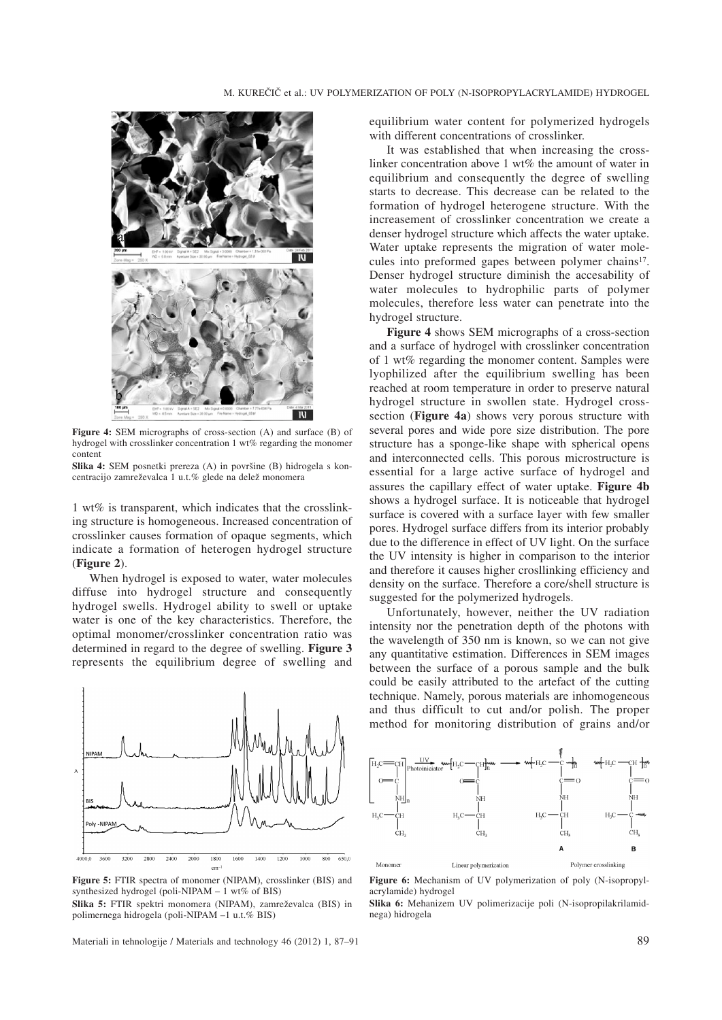

**Figure 4:** SEM micrographs of cross-section (A) and surface (B) of hydrogel with crosslinker concentration 1 wt% regarding the monomer content

**Slika 4:** SEM posnetki prereza (A) in površine (B) hidrogela s koncentracijo zamreževalca 1 u.t.% glede na delež monomera

1 wt% is transparent, which indicates that the crosslinking structure is homogeneous. Increased concentration of crosslinker causes formation of opaque segments, which indicate a formation of heterogen hydrogel structure (**Figure 2**).

When hydrogel is exposed to water, water molecules diffuse into hydrogel structure and consequently hydrogel swells. Hydrogel ability to swell or uptake water is one of the key characteristics. Therefore, the optimal monomer/crosslinker concentration ratio was determined in regard to the degree of swelling. **Figure 3** represents the equilibrium degree of swelling and



**Figure 5:** FTIR spectra of monomer (NIPAM), crosslinker (BIS) and synthesized hydrogel (poli-NIPAM – 1 wt% of BIS)

Slika 5: FTIR spektri monomera (NIPAM), zamreževalca (BIS) in polimernega hidrogela (poli-NIPAM –1 u.t.% BIS)

Materiali in tehnologije / Materials and technology 46 (2012) 1, 87–91 89

equilibrium water content for polymerized hydrogels with different concentrations of crosslinker.

It was established that when increasing the crosslinker concentration above 1 wt% the amount of water in equilibrium and consequently the degree of swelling starts to decrease. This decrease can be related to the formation of hydrogel heterogene structure. With the increasement of crosslinker concentration we create a denser hydrogel structure which affects the water uptake. Water uptake represents the migration of water molecules into preformed gapes between polymer chains<sup>17</sup>. Denser hydrogel structure diminish the accesability of water molecules to hydrophilic parts of polymer molecules, therefore less water can penetrate into the hydrogel structure.

**Figure 4** shows SEM micrographs of a cross-section and a surface of hydrogel with crosslinker concentration of 1 wt% regarding the monomer content. Samples were lyophilized after the equilibrium swelling has been reached at room temperature in order to preserve natural hydrogel structure in swollen state. Hydrogel crosssection (**Figure 4a**) shows very porous structure with several pores and wide pore size distribution. The pore structure has a sponge-like shape with spherical opens and interconnected cells. This porous microstructure is essential for a large active surface of hydrogel and assures the capillary effect of water uptake. **Figure 4b** shows a hydrogel surface. It is noticeable that hydrogel surface is covered with a surface layer with few smaller pores. Hydrogel surface differs from its interior probably due to the difference in effect of UV light. On the surface the UV intensity is higher in comparison to the interior and therefore it causes higher crosllinking efficiency and density on the surface. Therefore a core/shell structure is suggested for the polymerized hydrogels.

Unfortunately, however, neither the UV radiation intensity nor the penetration depth of the photons with the wavelength of 350 nm is known, so we can not give any quantitative estimation. Differences in SEM images between the surface of a porous sample and the bulk could be easily attributed to the artefact of the cutting technique. Namely, porous materials are inhomogeneous and thus difficult to cut and/or polish. The proper method for monitoring distribution of grains and/or



**Figure 6:** Mechanism of UV polymerization of poly (N-isopropylacrylamide) hydrogel

**Slika 6:** Mehanizem UV polimerizacije poli (N-isopropilakrilamidnega) hidrogela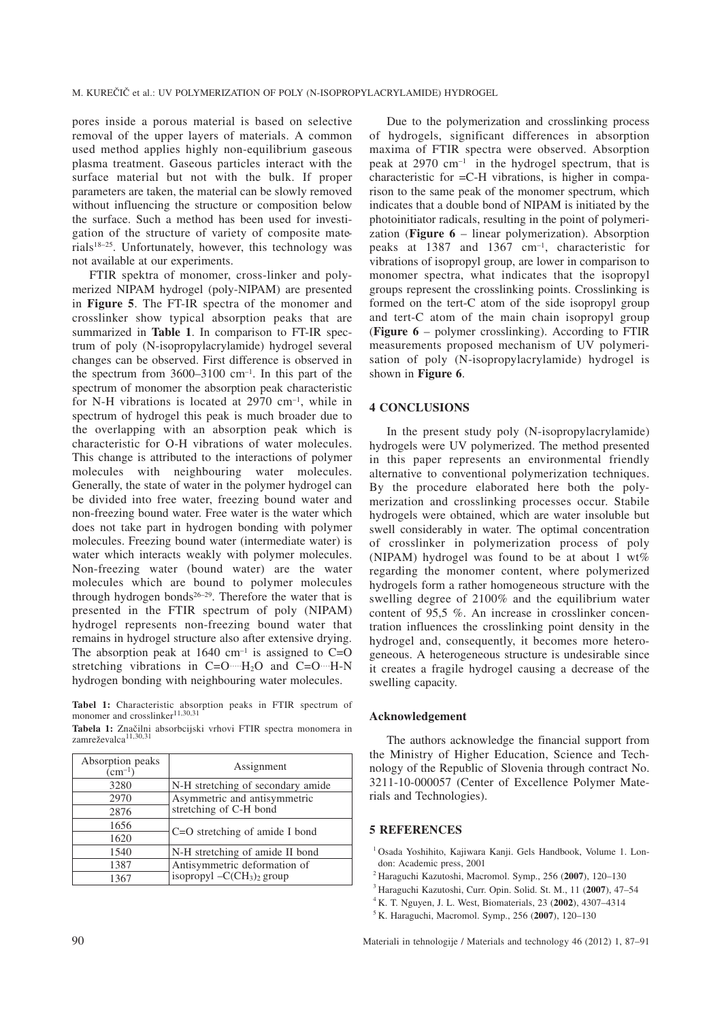pores inside a porous material is based on selective removal of the upper layers of materials. A common used method applies highly non-equilibrium gaseous plasma treatment. Gaseous particles interact with the surface material but not with the bulk. If proper parameters are taken, the material can be slowly removed without influencing the structure or composition below the surface. Such a method has been used for investigation of the structure of variety of composite materials18–25. Unfortunately, however, this technology was not available at our experiments.

FTIR spektra of monomer, cross-linker and polymerized NIPAM hydrogel (poly-NIPAM) are presented in **Figure 5**. The FT-IR spectra of the monomer and crosslinker show typical absorption peaks that are summarized in **Table 1**. In comparison to FT-IR spectrum of poly (N-isopropylacrylamide) hydrogel several changes can be observed. First difference is observed in the spectrum from  $3600-3100$  cm<sup>-1</sup>. In this part of the spectrum of monomer the absorption peak characteristic for N-H vibrations is located at  $2970 \text{ cm}^{-1}$ , while in spectrum of hydrogel this peak is much broader due to the overlapping with an absorption peak which is characteristic for O-H vibrations of water molecules. This change is attributed to the interactions of polymer molecules with neighbouring water molecules. Generally, the state of water in the polymer hydrogel can be divided into free water, freezing bound water and non-freezing bound water. Free water is the water which does not take part in hydrogen bonding with polymer molecules. Freezing bound water (intermediate water) is water which interacts weakly with polymer molecules. Non-freezing water (bound water) are the water molecules which are bound to polymer molecules through hydrogen bonds<sup>26-29</sup>. Therefore the water that is presented in the FTIR spectrum of poly (NIPAM) hydrogel represents non-freezing bound water that remains in hydrogel structure also after extensive drying. The absorption peak at  $1640 \text{ cm}^{-1}$  is assigned to C=O stretching vibrations in  $C=O$   $H<sub>2</sub>O$  and  $C=O$   $H<sub>-</sub>N$ hydrogen bonding with neighbouring water molecules.

**Tabel 1:** Characteristic absorption peaks in FTIR spectrum of monomer and crosslinker<sup>11,30,31</sup>

Tabela 1: Značilni absorbcijski vrhovi FTIR spectra monomera in zamreževalca<sup>11,30,31</sup>

| Absorption peaks<br>$\overline{(cm^{-1})}$ | Assignment                                                   |
|--------------------------------------------|--------------------------------------------------------------|
| 3280                                       | N-H stretching of secondary amide                            |
| 2970                                       | Asymmetric and antisymmetric<br>stretching of C-H bond       |
| 2876                                       |                                                              |
| 1656                                       | C=O stretching of amide I bond                               |
| 1620                                       |                                                              |
| 1540                                       | N-H stretching of amide II bond                              |
| 1387                                       | Antisymmetric deformation of<br>isopropyl $-C(CH_3)_2$ group |
| 1367                                       |                                                              |

Due to the polymerization and crosslinking process of hydrogels, significant differences in absorption maxima of FTIR spectra were observed. Absorption peak at 2970 cm–1 in the hydrogel spectrum, that is characteristic for =C-H vibrations, is higher in comparison to the same peak of the monomer spectrum, which indicates that a double bond of NIPAM is initiated by the photoinitiator radicals, resulting in the point of polymerization (**Figure 6** – linear polymerization). Absorption peaks at 1387 and 1367 cm–1, characteristic for vibrations of isopropyl group, are lower in comparison to monomer spectra, what indicates that the isopropyl groups represent the crosslinking points. Crosslinking is formed on the tert-C atom of the side isopropyl group and tert-C atom of the main chain isopropyl group (**Figure 6** – polymer crosslinking). According to FTIR measurements proposed mechanism of UV polymerisation of poly (N-isopropylacrylamide) hydrogel is shown in **Figure 6**.

#### **4 CONCLUSIONS**

In the present study poly (N-isopropylacrylamide) hydrogels were UV polymerized. The method presented in this paper represents an environmental friendly alternative to conventional polymerization techniques. By the procedure elaborated here both the polymerization and crosslinking processes occur. Stabile hydrogels were obtained, which are water insoluble but swell considerably in water. The optimal concentration of crosslinker in polymerization process of poly (NIPAM) hydrogel was found to be at about 1  $wt\%$ regarding the monomer content, where polymerized hydrogels form a rather homogeneous structure with the swelling degree of 2100% and the equilibrium water content of 95,5 %. An increase in crosslinker concentration influences the crosslinking point density in the hydrogel and, consequently, it becomes more heterogeneous. A heterogeneous structure is undesirable since it creates a fragile hydrogel causing a decrease of the swelling capacity.

#### **Acknowledgement**

The authors acknowledge the financial support from the Ministry of Higher Education, Science and Technology of the Republic of Slovenia through contract No. 3211-10-000057 (Center of Excellence Polymer Materials and Technologies).

#### **5 REFERENCES**

- <sup>1</sup> Osada Yoshihito, Kajiwara Kanji. Gels Handbook, Volume 1. London: Academic press, 2001
- <sup>2</sup> Haraguchi Kazutoshi, Macromol. Symp., 256 (**2007**), 120–130
- <sup>3</sup> Haraguchi Kazutoshi, Curr. Opin. Solid. St. M., 11 (**2007**), 47–54
- <sup>4</sup> K. T. Nguyen, J. L. West, Biomaterials, 23 (**2002**), 4307–4314
- <sup>5</sup> K. Haraguchi, Macromol. Symp., 256 (**2007**), 120–130